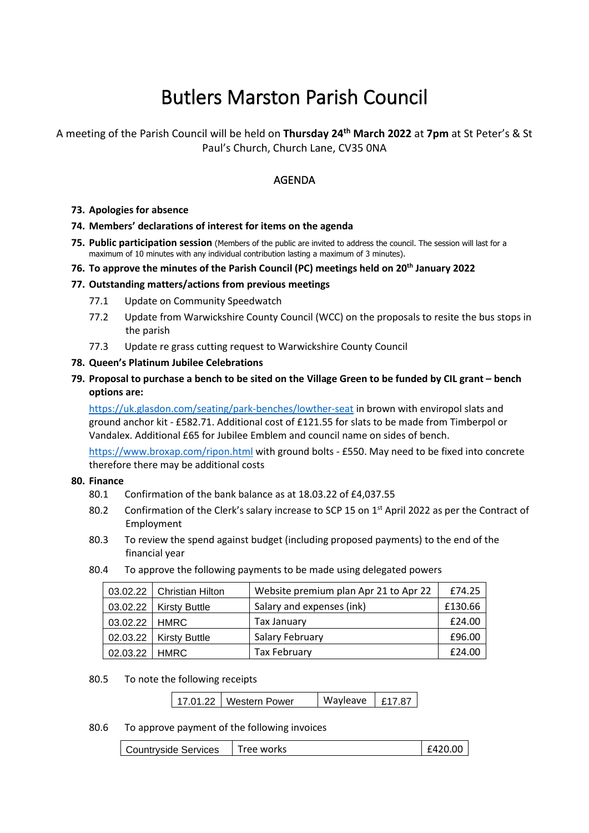# Butlers Marston Parish Council

# A meeting of the Parish Council will be held on **Thursday 24 th March 2022** at **7pm** at St Peter's & St Paul's Church, Church Lane, CV35 0NA

# AGENDA

### **73. Apologies for absence**

### **74. Members' declarations of interest for items on the agenda**

**75. Public participation session** (Members of the public are invited to address the council. The session will last for a maximum of 10 minutes with any individual contribution lasting a maximum of 3 minutes).

### **76. To approve the minutes of the Parish Council (PC) meetings held on 20th January 2022**

### **77. Outstanding matters/actions from previous meetings**

- 77.1 Update on Community Speedwatch
- 77.2 Update from Warwickshire County Council (WCC) on the proposals to resite the bus stops in the parish
- 77.3 Update re grass cutting request to Warwickshire County Council

### **78. Queen's Platinum Jubilee Celebrations**

**79. Proposal to purchase a bench to be sited on the Village Green to be funded by CIL grant – bench options are:**

<https://uk.glasdon.com/seating/park-benches/lowther-seat> in brown with enviropol slats and ground anchor kit - £582.71. Additional cost of £121.55 for slats to be made from Timberpol or Vandalex. Additional £65 for Jubilee Emblem and council name on sides of bench.

<https://www.broxap.com/ripon.html> with ground bolts - £550. May need to be fixed into concrete therefore there may be additional costs

#### **80. Finance**

- 80.1 Confirmation of the bank balance as at 18.03.22 of £4,037.55
- 80.2 Confirmation of the Clerk's salary increase to SCP 15 on 1<sup>st</sup> April 2022 as per the Contract of Employment
- 80.3 To review the spend against budget (including proposed payments) to the end of the financial year
- 80.4 To approve the following payments to be made using delegated powers

|                 | 03.02.22   Christian Hilton | Website premium plan Apr 21 to Apr 22 | £74.25  |
|-----------------|-----------------------------|---------------------------------------|---------|
|                 | $03.02.22$   Kirsty Buttle  | Salary and expenses (ink)             | £130.66 |
| 03.02.22   HMRC |                             | Tax January                           | £24.00  |
|                 | $02.03.22$ Kirsty Buttle    | Salary February                       | £96.00  |
| 02.03.22 HMRC   |                             | <b>Tax February</b>                   | £24.00  |

80.5 To note the following receipts

| 17.01.22   Western Power | Wayleave   £17.87 |  |
|--------------------------|-------------------|--|
|--------------------------|-------------------|--|

#### 80.6 To approve payment of the following invoices

Countryside Services Tree works  $\vert$  £420.00